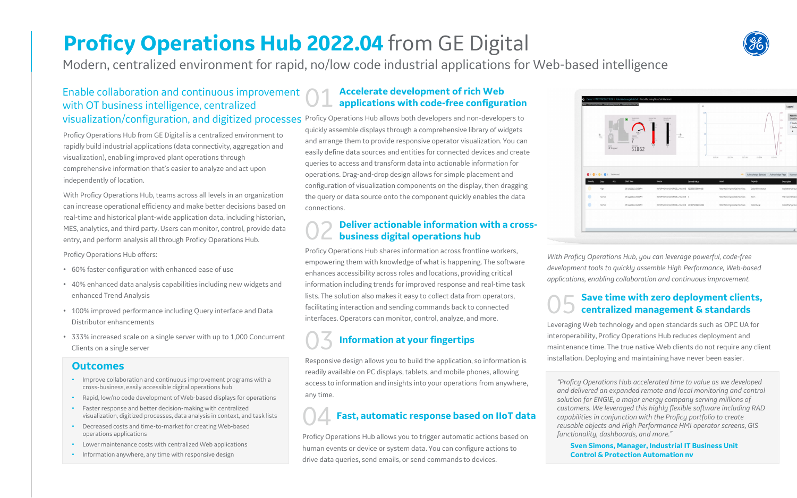## **Proficy Operations Hub 2022.04** from GE Digital

## Enable collaboration and continuous improvement with OT business intelligence, centralized visualization/configuration, and digitized processes Proficy Operations Hub allows both developers and non-developers to

Modern, centralized environment for rapid, no/low code industrial applications for Web-based intelligence

## 01 **Accelerate development of rich Web applications with code-free configuration**

## **Deliver actionable information with a crossbusiness digital operations hub**

quickly assemble displays through a comprehensive library of widgets and arrange them to provide responsive operator visualization. You can easily define data sources and entities for connected devices and create queries to access and transform data into actionable information for operations. Drag-and-drop design allows for simple placement and configuration of visualization components on the display, then dragging the query or data source onto the component quickly enables the data connections.

Proficy Operations Hub shares information across frontline workers, empowering them with knowledge of what is happening. The software enhances accessibility across roles and locations, providing critical information including trends for improved response and real-time task lists. The solution also makes it easy to collect data from operators, facilitating interaction and sending commands back to connected interfaces. Operators can monitor, control, analyze, and more.

## 03 **Information at your fingertips**

Responsive design allows you to build the application, so information is readily available on PC displays, tablets, and mobile phones, allowing access to information and insights into your operations from anywhere, any time.

## 05 **Save time with zero deployment clients, centralized management & standards**

Leveraging Web technology and open standards such as OPC UA for interoperability, Proficy Operations Hub reduces deployment and maintenance time. The true native Web clients do not require any client installation. Deploying and maintaining have never been easier.

## **Outcomes**

- Improve collaboration and continuous improvement programs with a cross-business, easily accessible digital operations hub
- Rapid, low/no code development of Web-based displays for operations
- Faster response and better decision-making with centralized visualization, digitized processes, data analysis in context, and task lists
- Decreased costs and time-to-market for creating Web-based operations applications
- Lower maintenance costs with centralized Web applications
- Information anywhere, any time with responsive design

*With Proficy Operations Hub, you can leverage powerful, code-free development tools to quickly assemble High Performance, Web-based applications, enabling collaboration and continuous improvement.*

> **Sven Simons, Manager, Industrial IT Business Unit Control & Protection Automation nv**

*"Proficy Operations Hub accelerated time to value as we developed and delivered an expanded remote and local monitoring and control solution for ENGIE, a major energy company serving millions of customers. We leveraged this highly flexible software including RAD capabilities in conjunction with the Proficy portfolio to create reusable objects and High Performance HMI operator screens, GIS functionality, dashboards, and more."*

## 04 **Fast, automatic response based on IIoT data**

Proficy Operations Hub allows you to trigger automatic actions based on human events or device or system data. You can configure actions to drive data queries, send emails, or send commands to devices.





Proficy Operations Hub from GE Digital is a centralized environment to rapidly build industrial applications (data connectivity, aggregation and visualization), enabling improved plant operations through comprehensive information that's easier to analyze and act upon independently of location.

With Proficy Operations Hub, teams across all levels in an organization can increase operational efficiency and make better decisions based on real-time and historical plant-wide application data, including historian, MES, analytics, and third party. Users can monitor, control, provide data entry, and perform analysis all through Proficy Operations Hub.

Proficy Operations Hub offers:

- 60% faster configuration with enhanced ease of use
- 40% enhanced data analysis capabilities including new widgets and enhanced Trend Analysis
- 100% improved performance including Query interface and Data Distributor enhancements
- 333% increased scale on a single server with up to 1,000 Concurrent Clients on a single server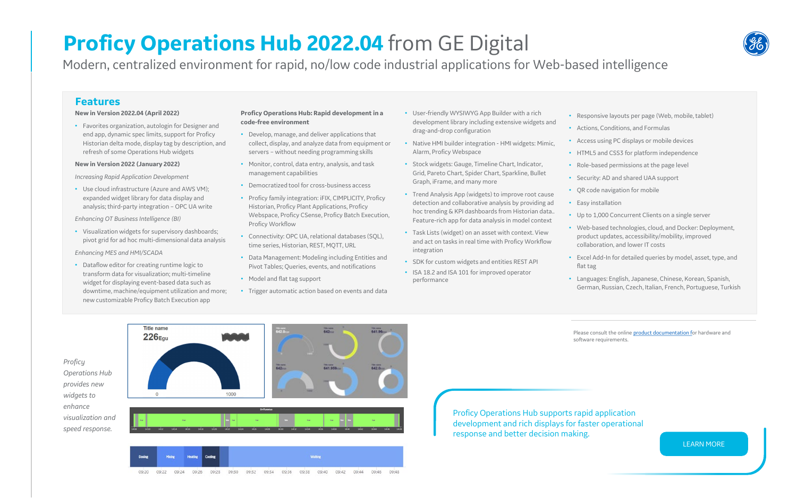## **Features**

### **New in Version 2022.04 (April 2022)**

• Favorites organization, autologin for Designer and end app, dynamic spec limits, support for Proficy Historian delta mode, display tag by description, and refresh of some Operations Hub widgets

### **New in Version 2022 (January 2022)**

*Increasing Rapid Application Development*

• Use cloud infrastructure (Azure and AWS VM); expanded widget library for data display and analysis; third-party integration – OPC UA write

*Enhancing OT Business Intelligence (BI)*

• Visualization widgets for supervisory dashboards; pivot grid for ad hoc multi-dimensional data analysis

*Enhancing MES and HMI/SCADA*

• Dataflow editor for creating runtime logic to transform data for visualization; multi-timeline widget for displaying event-based data such as downtime, machine/equipment utilization and more; new customizable Proficy Batch Execution app

09:20

 $09:22$ 

 $09:24$ 

09:26 09:28

Please consult the online **product documentation** for hardware and software requirements.

### **Proficy Operations Hub: Rapid development in a code-free environment**

- Develop, manage, and deliver applications that collect, display, and analyze data from equipment or servers – without needing programming skills
- Monitor, control, data entry, analysis, and task management capabilities
- Democratized tool for cross-business access
- Proficy family integration: iFIX, CIMPLICITY, Proficy Historian, Proficy Plant Applications, Proficy Webspace, Proficy CSense, Proficy Batch Execution, Proficy Workflow
- Connectivity: OPC UA, relational databases (SQL), time series, Historian, REST, MQTT, URL
- Data Management: Modeling including Entities and Pivot Tables; Queries, events, and notifications
- Model and flat tag support
- Trigger automatic action based on events and data

Proficy Operations Hub supports rapid application development and rich displays for faster operational response and better decision making.



[LEARN MORE](https://www.ge.com/digital/applications/hmi-scada/operations-hub)

# **Proficy Operations Hub 2022.04** from GE Digital

*Proficy Operations Hub provides new widgets to enhance visualization and speed response.*



09:30 09:32 09:34 09:36 09:38 09:40

09:42 09:44

09:46

09:48

Modern, centralized environment for rapid, no/low code industrial applications for Web-based intelligence

- Responsive layouts per page (Web, mobile, tablet)
- Actions, Conditions, and Formulas
- Access using PC displays or mobile devices
- HTML5 and CSS3 for platform independence
- Role-based permissions at the page level
- Security: AD and shared UAA support
- QR code navigation for mobile
- Easy installation
- Up to 1,000 Concurrent Clients on a single server
- Web-based technologies, cloud, and Docker: Deployment, product updates, accessibility/mobility, improved collaboration, and lower IT costs
- Excel Add-In for detailed queries by model, asset, type, and flat tag
- Languages: English, Japanese, Chinese, Korean, Spanish, German, Russian, Czech, Italian, French, Portuguese, Turkish
- User-friendly WYSIWYG App Builder with a rich development library including extensive widgets and drag-and-drop configuration
- Native HMI builder integration HMI widgets: Mimic, Alarm, Proficy Webspace
- Stock widgets: Gauge, Timeline Chart, Indicator, Grid, Pareto Chart, Spider Chart, Sparkline, Bullet Graph, iFrame, and many more
- Trend Analysis App (widgets) to improve root cause detection and collaborative analysis by providing ad hoc trending & KPI dashboards from Historian data.. Feature-rich app for data analysis in model context
- Task Lists (widget) on an asset with context. View and act on tasks in real time with Proficy Workflow integration
- SDK for custom widgets and entities REST API
- ISA 18.2 and ISA 101 for improved operator performance